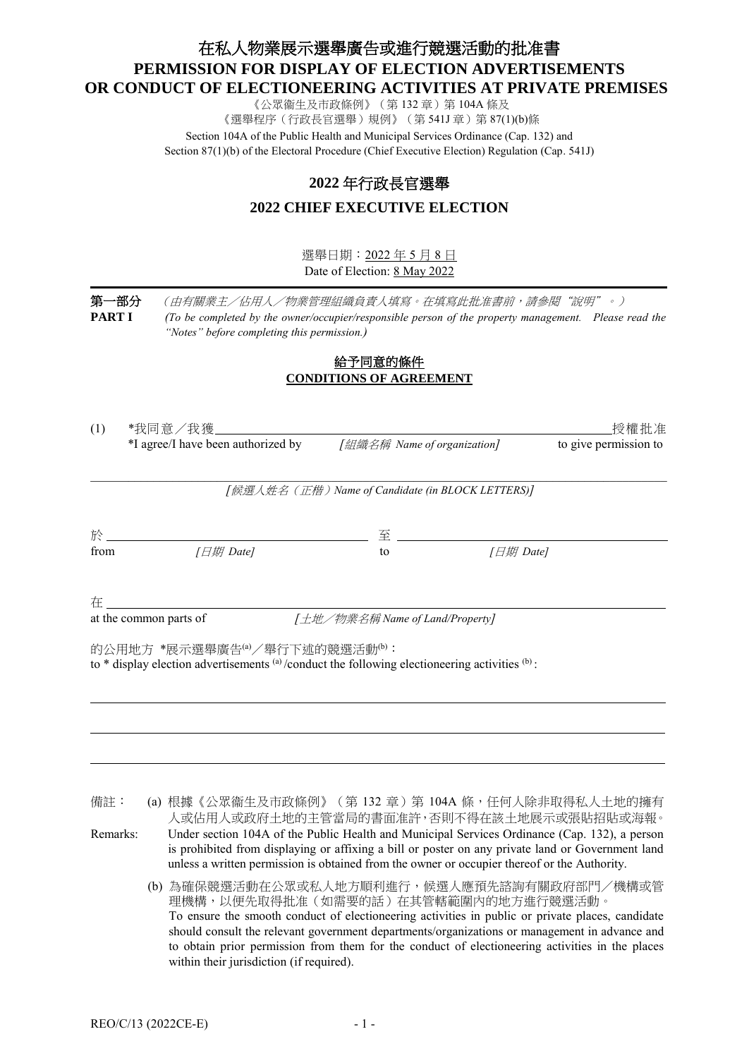# 在私人物業展示選舉廣告或進行競選活動的批准書 **PERMISSION FOR DISPLAY OF ELECTION ADVERTISEMENTS OR CONDUCT OF ELECTIONEERING ACTIVITIES AT PRIVATE PREMISES**

《公眾衞生及市政條例》(第132章)第104A 條及 《選舉程序(行政長官選舉)規例》(第 541J 章) 第 87(1)(b)條 Section 104A of the Public Health and Municipal Services Ordinance (Cap. 132) and Section 87(1)(b) of the Electoral Procedure (Chief Executive Election) Regulation (Cap. 541J)

## **2022** 年行政長官選舉

## **2022 CHIEF EXECUTIVE ELECTION**

選舉日期:2022 年 5 月 8 日 Date of Election: 8 May 2022

第一部分 (由有關業主/佔用人/物業管理組織負責人填寫。在填寫此批准書前,請參閱"說明"。) **PART I** *(To be completed by the owner/occupier/responsible person of the property management. Please read the "Notes" before completing this permission.)*

## <u>給予同意的條件</u> **CONDITIONS OF AGREEMENT**

| (1)  | *我同意/我獲」                                                                                                                                      |                                                   |           | 授權批准                  |
|------|-----------------------------------------------------------------------------------------------------------------------------------------------|---------------------------------------------------|-----------|-----------------------|
|      | *I agree/I have been authorized by                                                                                                            |                                                   |           | to give permission to |
|      |                                                                                                                                               | [候選人姓名 (正楷) Name of Candidate (in BLOCK LETTERS)] |           |                       |
| 於    |                                                                                                                                               | 至                                                 |           |                       |
| from | $I \Box H$ Date]                                                                                                                              | to                                                | [日期 Date] |                       |
| 在    |                                                                                                                                               |                                                   |           |                       |
|      | at the common parts of                                                                                                                        | [土地/物業名稱 Name of Land/Property]                   |           |                       |
|      | 的公用地方 *展示選舉廣告(a)/舉行下述的競選活動 <sup>(b):</sup><br>to $*$ display election advertisements (a)/conduct the following electioneering activities (b): |                                                   |           |                       |
|      |                                                                                                                                               |                                                   |           |                       |
|      |                                                                                                                                               |                                                   |           |                       |

備註: (a) 根據《公眾衞生及市政條例》(第 132 章) 第 104A 條, 任何人除非取得私人土地的擁有 人或佔用人或政府土地的主管當局的書面准許,否則不得在該土地展示或張貼招貼或海報。

Remarks: Under section 104A of the Public Health and Municipal Services Ordinance (Cap. 132), a person is prohibited from displaying or affixing a bill or poster on any private land or Government land unless a written permission is obtained from the owner or occupier thereof or the Authority.

(b) 為確保競選活動在公眾或私人地方順利進行,候選人應預先諮詢有關政府部門/機構或管 理機構,以便先取得批准(如需要的話)在其管轄範圍內的地方進行競選活動。 To ensure the smooth conduct of electioneering activities in public or private places, candidate should consult the relevant government departments/organizations or management in advance and to obtain prior permission from them for the conduct of electioneering activities in the places within their jurisdiction (if required).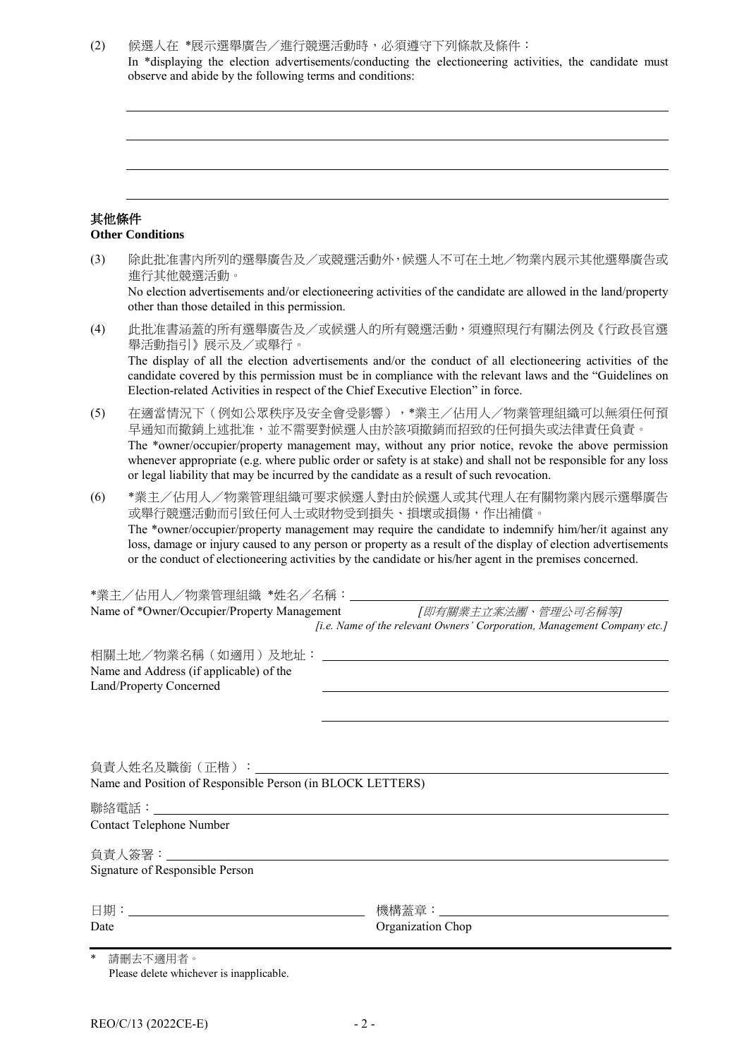#### (2) 候選人在 \*展示選舉廣告/進行競選活動時,必須遵守下列條款及條件:

In \*displaying the election advertisements/conducting the electioneering activities, the candidate must observe and abide by the following terms and conditions:

#### 其他條件 **Other Conditions**

### (3) 除此批准書內所列的選舉廣告及/或競選活動外,候選人不可在土地/物業內展示其他選舉廣告或 進行其他競選活動。 No election advertisements and/or electioneering activities of the candidate are allowed in the land/property other than those detailed in this permission.

- (4) 此批准書涵蓋的所有選舉廣告及/或候選人的所有競選活動,須遵照現行有關法例及《行政長官選 舉活動指引》展示及/或舉行。 The display of all the election advertisements and/or the conduct of all electioneering activities of the candidate covered by this permission must be in compliance with the relevant laws and the "Guidelines on Election-related Activities in respect of the Chief Executive Election" in force.
- (5) 在適當情況下(例如公眾秩序及安全會受影響),\*業主/佔用人/物業管理組織可以無須任何預 早通知而撤銷上述批准,並不需要對候選人由於該項撤銷而招致的任何損失或法律責任負責。 The \*owner/occupier/property management may, without any prior notice, revoke the above permission whenever appropriate (e.g. where public order or safety is at stake) and shall not be responsible for any loss or legal liability that may be incurred by the candidate as a result of such revocation.
- (6) \*業主/佔用人/物業管理組織可要求候選人對由於候選人或其代理人在有關物業內展示選舉廣告 或舉行競選活動而引致任何人士或財物受到損失、損壞或損傷,作出補償。 The \*owner/occupier/property management may require the candidate to indemnify him/her/it against any loss, damage or injury caused to any person or property as a result of the display of election advertisements or the conduct of electioneering activities by the candidate or his/her agent in the premises concerned.

|                                                                                                             | Name of *Owner/Occupier/Property Management <i>[即有關業主立案法團、管理公司名稱等]</i>   |
|-------------------------------------------------------------------------------------------------------------|--------------------------------------------------------------------------|
|                                                                                                             | [i.e. Name of the relevant Owners' Corporation, Management Company etc.] |
| 相關土地/物業名稱(如適用)及地址: __________________<br>Name and Address (if applicable) of the<br>Land/Property Concerned |                                                                          |
|                                                                                                             |                                                                          |
|                                                                                                             |                                                                          |
| Name and Position of Responsible Person (in BLOCK LETTERS)                                                  |                                                                          |
|                                                                                                             |                                                                          |
| Contact Telephone Number                                                                                    |                                                                          |
|                                                                                                             |                                                                          |
| Signature of Responsible Person                                                                             |                                                                          |
|                                                                                                             |                                                                          |
| Date                                                                                                        | Organization Chop                                                        |
|                                                                                                             |                                                                          |
| * 請刪去不適用者。                                                                                                  |                                                                          |

Please delete whichever is inapplicable.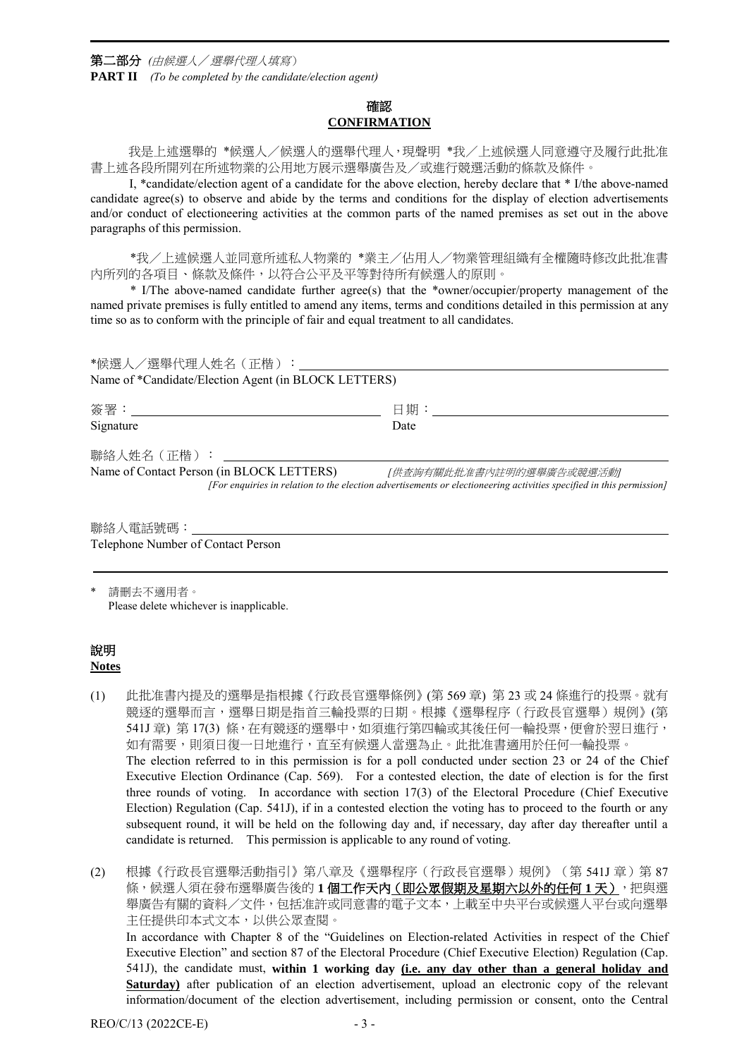第二部分 *(*由候選人/選舉代理人填寫) **PART II** *(To be completed by the candidate/election agent)*

## 確認 **CONFIRMATION**

我是上述選舉的 \*候選人/候選人的選舉代理人,現聲明 \*我/上述候選人同意遵守及履行此批准 書上述各段所開列在所述物業的公用地方展示選舉廣告及/或進行競選活動的條款及條件。

I, \*candidate/election agent of a candidate for the above election, hereby declare that \* I/the above-named candidate agree(s) to observe and abide by the terms and conditions for the display of election advertisements and/or conduct of electioneering activities at the common parts of the named premises as set out in the above paragraphs of this permission.

\*我/上述候選人並同意所述私人物業的 \*業主/佔用人/物業管理組織有全權隨時修改此批准書 內所列的各項目、條款及條件,以符合公平及平等對待所有候選人的原則。

\* I/The above-named candidate further agree(s) that the \*owner/occupier/property management of the named private premises is fully entitled to amend any items, terms and conditions detailed in this permission at any time so as to conform with the principle of fair and equal treatment to all candidates.

| *候選人/選舉代理人姓名(正楷):___<br>Name of *Candidate/Election Agent (in BLOCK LETTERS) |                                                                                                                      |
|------------------------------------------------------------------------------|----------------------------------------------------------------------------------------------------------------------|
| Signature                                                                    | 日期:<br>Date                                                                                                          |
| 聯絡人姓名 (正楷):<br>Name of Contact Person (in BLOCK LETTERS)                     | 「供查詢有關此批准書內註明的選舉廣告或競選活動」                                                                                             |
|                                                                              | [For enquiries in relation to the election advertisements or electioneering activities specified in this permission] |

聯絡人電話號碼: Telephone Number of Contact Person

請刪去不適用者。 Please delete whichever is inapplicable.

#### 說明 **Notes**

(1) 此批准書內提及的選舉是指根據《行政長官選舉條例》(第 569 章) 第 23 或 24 條進行的投票。就有 競逐的選舉而言,選舉日期是指首三輪投票的日期。根據《選舉程序(行政長官選舉)規例》(第 541J 章) 第 17(3) 條, 在有競逐的選舉中, 如須進行第四輪或其後任何一輪投票, 便會於翌日進行, 如有需要,則須日復一日地進行,直至有候選人當選為止。此批准書適用於任何一輪投票。 The election referred to in this permission is for a poll conducted under section 23 or 24 of the Chief Executive Election Ordinance (Cap. 569). For a contested election, the date of election is for the first three rounds of voting. In accordance with section 17(3) of the Electoral Procedure (Chief Executive Election) Regulation (Cap. 541J), if in a contested election the voting has to proceed to the fourth or any subsequent round, it will be held on the following day and, if necessary, day after day thereafter until a candidate is returned. This permission is applicable to any round of voting.

(2) 根據《行政長官選舉活動指引》第八章及《選舉程序(行政長官選舉)規例》(第 541J 章)第 87 條,候選人須在發布選舉廣告後的1個工**作天內(即公眾假期及星期六以外的任何1天)**,把與選 舉廣告有關的資料/文件,包括准許或同意書的電子文本,上載至中央平台或候選人平台或向選舉 主任提供印本式文本,以供公眾查閱。 In accordance with Chapter 8 of the "Guidelines on Election-related Activities in respect of the Chief Executive Election" and section 87 of the Electoral Procedure (Chief Executive Election) Regulation (Cap. 541J), the candidate must, **within 1 working day (i.e. any day other than a general holiday and Saturday**) after publication of an election advertisement, upload an electronic copy of the relevant information/document of the election advertisement, including permission or consent, onto the Central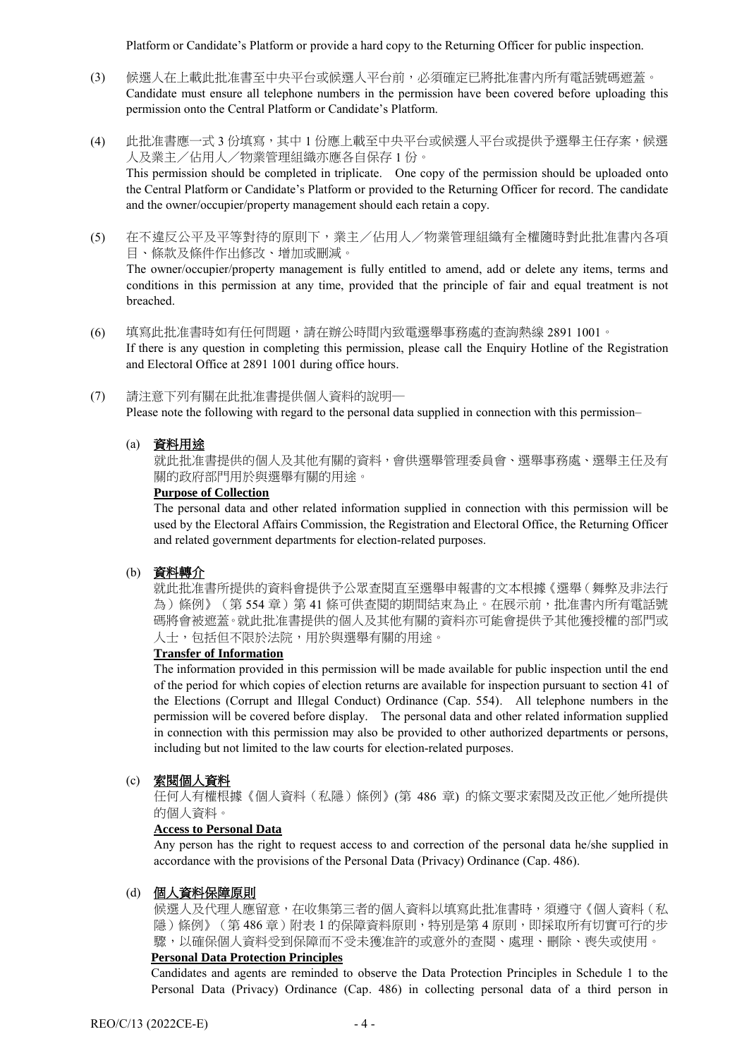Platform or Candidate's Platform or provide a hard copy to the Returning Officer for public inspection.

- (3) 候選人在上載此批准書至中央平台或候選人平台前,必須確定已將批准書內所有電話號碼遮蓋。 Candidate must ensure all telephone numbers in the permission have been covered before uploading this permission onto the Central Platform or Candidate's Platform.
- (4) 此批准書應一式 3 份填寫,其中 1 份應上載至中央平台或候選人平台或提供予選舉主任存案,候選 人及業主/佔用人/物業管理組織亦應各自保存 1 份。 This permission should be completed in triplicate. One copy of the permission should be uploaded onto the Central Platform or Candidate's Platform or provided to the Returning Officer for record. The candidate and the owner/occupier/property management should each retain a copy.
- (5) 在不違反公平及平等對待的原則下,業主/佔用人/物業管理組織有全權隨時對此批准書內各項 目、條款及條件作出修改、增加或刪減。

The owner/occupier/property management is fully entitled to amend, add or delete any items, terms and conditions in this permission at any time, provided that the principle of fair and equal treatment is not breached.

- (6) 填寫此批准書時如有任何問題,請在辦公時間內致電選舉事務處的查詢熱線 2891 1001。 If there is any question in completing this permission, please call the Enquiry Hotline of the Registration and Electoral Office at 2891 1001 during office hours.
- (7) 請注意下列有關在此批准書提供個人資料的說明─ Please note the following with regard to the personal data supplied in connection with this permission–
	- (a) 資料用途

就此批准書提供的個人及其他有關的資料,會供選舉管理委員會、選舉事務處、選舉主任及有 關的政府部門用於與選舉有關的用途。

#### **Purpose of Collection**

The personal data and other related information supplied in connection with this permission will be used by the Electoral Affairs Commission, the Registration and Electoral Office, the Returning Officer and related government departments for election-related purposes.

#### (b) 資料轉介

就此批准書所提供的資料會提供予公眾查閱直至選舉申報書的文本根據《選舉(舞弊及非法行 為)條例》(第 554 章)第 41 條可供查閱的期間結束為止。在展示前,批准書內所有電話號 碼將會被遮蓋。就此批准書提供的個人及其他有關的資料亦可能會提供予其他獲授權的部門或 人士,包括但不限於法院,用於與選舉有關的用途。

## **Transfer of Information**

The information provided in this permission will be made available for public inspection until the end of the period for which copies of election returns are available for inspection pursuant to section 41 of the Elections (Corrupt and Illegal Conduct) Ordinance (Cap. 554). All telephone numbers in the permission will be covered before display. The personal data and other related information supplied in connection with this permission may also be provided to other authorized departments or persons, including but not limited to the law courts for election-related purposes.

#### (c) 索閱個人資料

任何人有權根據《個人資料(私隱)條例》(第 486 章) 的條文要求索閱及改正他/她所提供 的個人資料。

#### **Access to Personal Data**

Any person has the right to request access to and correction of the personal data he/she supplied in accordance with the provisions of the Personal Data (Privacy) Ordinance (Cap. 486).

#### (d) 個人資料保障原則

候選人及代理人應留意,在收集第三者的個人資料以填寫此批准書時,須遵守《個人資料(私 隱 ) 條例》(第 486 章 ) 附表 1 的保障資料原則,特別是第 4 原則,即採取所有切實可行的步 驟,以確保個人資料受到保障而不受未獲准許的或意外的查閱、處理、刪除、喪失或使用。

#### **Personal Data Protection Principles**

Candidates and agents are reminded to observe the Data Protection Principles in Schedule 1 to the Personal Data (Privacy) Ordinance (Cap. 486) in collecting personal data of a third person in